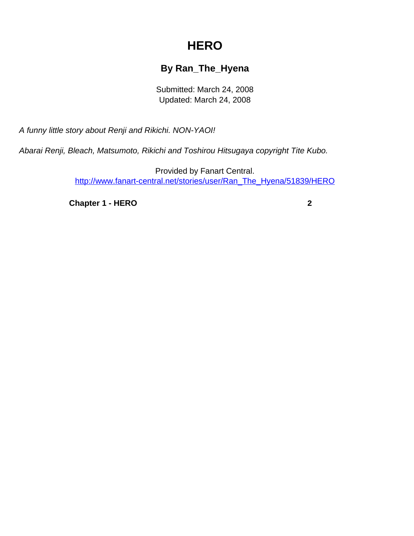## **HERO**

## **By Ran\_The\_Hyena**

Submitted: March 24, 2008 Updated: March 24, 2008

<span id="page-0-0"></span>A funny little story about Renji and Rikichi. NON-YAOI!

Abarai Renji, Bleach, Matsumoto, Rikichi and Toshirou Hitsugaya copyright Tite Kubo.

Provided by Fanart Central. [http://www.fanart-central.net/stories/user/Ran\\_The\\_Hyena/51839/HERO](#page-0-0)

**[Chapter 1 - HERO](#page-1-0) [2](#page-1-0)**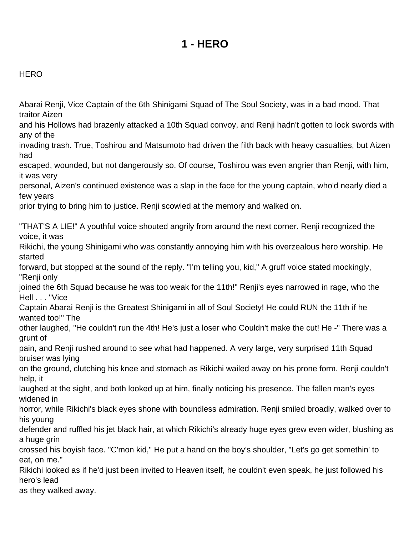## **1 - HERO**

## <span id="page-1-0"></span>**HERO**

Abarai Renji, Vice Captain of the 6th Shinigami Squad of The Soul Society, was in a bad mood. That traitor Aizen

and his Hollows had brazenly attacked a 10th Squad convoy, and Renji hadn't gotten to lock swords with any of the

invading trash. True, Toshirou and Matsumoto had driven the filth back with heavy casualties, but Aizen had

escaped, wounded, but not dangerously so. Of course, Toshirou was even angrier than Renji, with him, it was very

personal, Aizen's continued existence was a slap in the face for the young captain, who'd nearly died a few years

prior trying to bring him to justice. Renji scowled at the memory and walked on.

"THAT'S A LIE!" A youthful voice shouted angrily from around the next corner. Renji recognized the voice, it was Rikichi, the young Shinigami who was constantly annoying him with his overzealous hero worship. He started forward, but stopped at the sound of the reply. "I'm telling you, kid," A gruff voice stated mockingly, "Renji only joined the 6th Squad because he was too weak for the 11th!" Renji's eyes narrowed in rage, who the Hell . . . "Vice Captain Abarai Renji is the Greatest Shinigami in all of Soul Society! He could RUN the 11th if he wanted too!" The other laughed, "He couldn't run the 4th! He's just a loser who Couldn't make the cut! He -" There was a grunt of pain, and Renji rushed around to see what had happened. A very large, very surprised 11th Squad bruiser was lying on the ground, clutching his knee and stomach as Rikichi wailed away on his prone form. Renji couldn't help, it laughed at the sight, and both looked up at him, finally noticing his presence. The fallen man's eyes widened in horror, while Rikichi's black eyes shone with boundless admiration. Renji smiled broadly, walked over to his young defender and ruffled his jet black hair, at which Rikichi's already huge eyes grew even wider, blushing as a huge grin crossed his boyish face. "C'mon kid," He put a hand on the boy's shoulder, "Let's go get somethin' to eat, on me." Rikichi looked as if he'd just been invited to Heaven itself, he couldn't even speak, he just followed his hero's lead as they walked away.